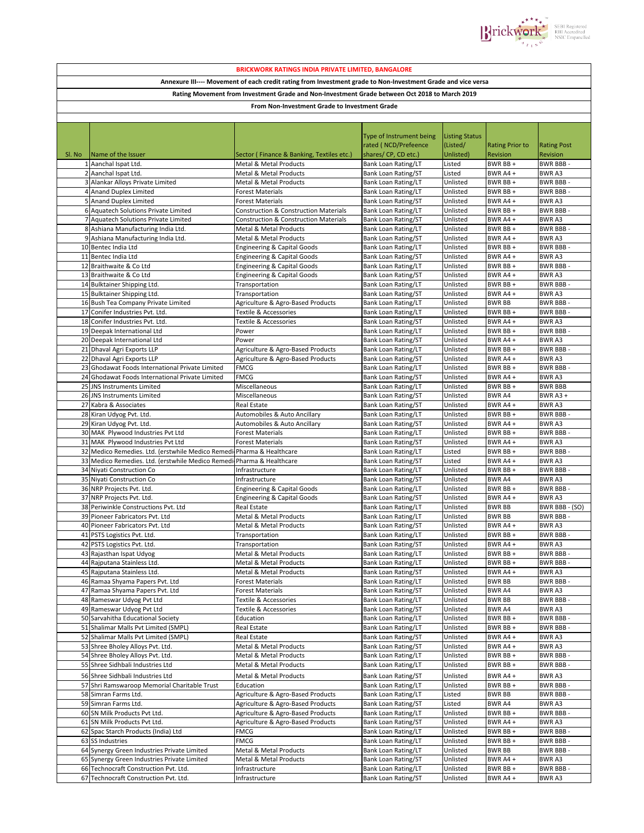

| <b>BRICKWORK RATINGS INDIA PRIVATE LIMITED, BANGALORE</b>                                                    |                                                                                      |                                                                                                      |                                                          |                       |                           |                                    |  |  |  |  |  |
|--------------------------------------------------------------------------------------------------------------|--------------------------------------------------------------------------------------|------------------------------------------------------------------------------------------------------|----------------------------------------------------------|-----------------------|---------------------------|------------------------------------|--|--|--|--|--|
| Annexure III---- Movement of each credit rating from Investment grade to Non-Investment Grade and vice versa |                                                                                      |                                                                                                      |                                                          |                       |                           |                                    |  |  |  |  |  |
|                                                                                                              |                                                                                      |                                                                                                      |                                                          |                       |                           |                                    |  |  |  |  |  |
| Rating Movement from Investment Grade and Non-Investment Grade between Oct 2018 to March 2019                |                                                                                      |                                                                                                      |                                                          |                       |                           |                                    |  |  |  |  |  |
| From Non-Investment Grade to Investment Grade                                                                |                                                                                      |                                                                                                      |                                                          |                       |                           |                                    |  |  |  |  |  |
|                                                                                                              |                                                                                      |                                                                                                      |                                                          |                       |                           |                                    |  |  |  |  |  |
|                                                                                                              |                                                                                      |                                                                                                      | Type of Instrument being                                 | <b>Listing Status</b> |                           |                                    |  |  |  |  |  |
|                                                                                                              |                                                                                      |                                                                                                      | rated (NCD/Prefeence                                     | (Listed/              | <b>Rating Prior to</b>    | <b>Rating Post</b>                 |  |  |  |  |  |
| SI. No                                                                                                       | Name of the Issuer                                                                   | Sector (Finance & Banking, Textiles etc.)                                                            | shares/CP, CD etc.)                                      | Unlisted)             | Revision                  | Revision                           |  |  |  |  |  |
|                                                                                                              | 1 Aanchal Ispat Ltd.                                                                 | Metal & Metal Products                                                                               | <b>Bank Loan Rating/LT</b>                               | Listed                | BWR BB+                   | <b>BWR BBB-</b>                    |  |  |  |  |  |
|                                                                                                              | 2 Aanchal Ispat Ltd.                                                                 | <b>Metal &amp; Metal Products</b>                                                                    | <b>Bank Loan Rating/ST</b>                               | Listed                | BWR A4+                   | <b>BWRA3</b>                       |  |  |  |  |  |
|                                                                                                              | 3 Alankar Alloys Private Limited                                                     | Metal & Metal Products                                                                               | Bank Loan Rating/LT                                      | Unlisted              | BWR BB+                   | <b>BWR BBB-</b>                    |  |  |  |  |  |
|                                                                                                              | 4 Anand Duplex Limited                                                               | <b>Forest Materials</b>                                                                              | <b>Bank Loan Rating/LT</b>                               | Unlisted              | BWR BB+                   | <b>BWR BBB</b>                     |  |  |  |  |  |
|                                                                                                              | 5 Anand Duplex Limited                                                               | <b>Forest Materials</b>                                                                              | <b>Bank Loan Rating/ST</b>                               | Unlisted              | BWR A4+                   | <b>BWRA3</b>                       |  |  |  |  |  |
|                                                                                                              | 6 Aquatech Solutions Private Limited<br>7 Aquatech Solutions Private Limited         | <b>Construction &amp; Construction Materials</b><br><b>Construction &amp; Construction Materials</b> | <b>Bank Loan Rating/LT</b><br><b>Bank Loan Rating/ST</b> | Unlisted<br>Unlisted  | BWR BB +<br>BWR A4 +      | <b>BWR BBB</b><br><b>BWRA3</b>     |  |  |  |  |  |
|                                                                                                              | 8 Ashiana Manufacturing India Ltd.                                                   | Metal & Metal Products                                                                               | <b>Bank Loan Rating/LT</b>                               | Unlisted              | BWR BB+                   | <b>BWR BBB</b>                     |  |  |  |  |  |
|                                                                                                              | 9 Ashiana Manufacturing India Ltd.                                                   | Metal & Metal Products                                                                               | <b>Bank Loan Rating/ST</b>                               | Unlisted              | BWR A4+                   | <b>BWRA3</b>                       |  |  |  |  |  |
|                                                                                                              | 10 Bentec India Ltd                                                                  | <b>Engineering &amp; Capital Goods</b>                                                               | <b>Bank Loan Rating/LT</b>                               | Unlisted              | BWR BB+                   | <b>BWR BBB-</b>                    |  |  |  |  |  |
|                                                                                                              | 11 Bentec India Ltd                                                                  | <b>Engineering &amp; Capital Goods</b>                                                               | <b>Bank Loan Rating/ST</b>                               | Unlisted              | BWR A4 +                  | <b>BWRA3</b>                       |  |  |  |  |  |
|                                                                                                              | 12 Braithwaite & Co Ltd                                                              | <b>Engineering &amp; Capital Goods</b>                                                               | Bank Loan Rating/LT                                      | Unlisted              | BWR BB+                   | <b>BWR BBB-</b>                    |  |  |  |  |  |
|                                                                                                              | 13 Braithwaite & Co Ltd                                                              | <b>Engineering &amp; Capital Goods</b>                                                               | <b>Bank Loan Rating/ST</b>                               | Unlisted              | BWR A4 +                  | <b>BWRA3</b>                       |  |  |  |  |  |
|                                                                                                              | 14 Bulktainer Shipping Ltd.                                                          | Transportation                                                                                       | Bank Loan Rating/LT                                      | Unlisted              | BWR BB+                   | <b>BWR BBB-</b>                    |  |  |  |  |  |
|                                                                                                              | 15 Bulktainer Shipping Ltd.<br>16 Bush Tea Company Private Limited                   | Transportation                                                                                       | <b>Bank Loan Rating/ST</b>                               | Unlisted              | BWR A4+                   | <b>BWRA3</b><br><b>BWR BBB-</b>    |  |  |  |  |  |
|                                                                                                              | 17 Conifer Industries Pvt. Ltd.                                                      | Agriculture & Agro-Based Products<br>Textile & Accessories                                           | <b>Bank Loan Rating/LT</b><br><b>Bank Loan Rating/LT</b> | Unlisted<br>Unlisted  | <b>BWR BB</b><br>BWR BB + | <b>BWR BBB-</b>                    |  |  |  |  |  |
|                                                                                                              | 18 Conifer Industries Pvt. Ltd.                                                      | Textile & Accessories                                                                                | <b>Bank Loan Rating/ST</b>                               | Unlisted              | BWR A4 +                  | <b>BWRA3</b>                       |  |  |  |  |  |
|                                                                                                              | 19 Deepak International Ltd                                                          | Power                                                                                                | <b>Bank Loan Rating/LT</b>                               | Unlisted              | BWR BB+                   | <b>BWR BBB</b>                     |  |  |  |  |  |
|                                                                                                              | 20 Deepak International Ltd                                                          | Power                                                                                                | <b>Bank Loan Rating/ST</b>                               | Unlisted              | BWR A4+                   | <b>BWRA3</b>                       |  |  |  |  |  |
|                                                                                                              | 21 Dhaval Agri Exports LLP                                                           | Agriculture & Agro-Based Products                                                                    | <b>Bank Loan Rating/LT</b>                               | Unlisted              | BWR BB+                   | <b>BWR BBB</b>                     |  |  |  |  |  |
|                                                                                                              | 22 Dhaval Agri Exports LLP                                                           | Agriculture & Agro-Based Products                                                                    | <b>Bank Loan Rating/ST</b>                               | Unlisted              | BWR A4+                   | <b>BWRA3</b>                       |  |  |  |  |  |
|                                                                                                              | 23 Ghodawat Foods International Private Limited                                      | <b>FMCG</b>                                                                                          | <b>Bank Loan Rating/LT</b>                               | Unlisted              | BWR BB+                   | <b>BWR BBB</b>                     |  |  |  |  |  |
|                                                                                                              | 24 Ghodawat Foods International Private Limited                                      | <b>FMCG</b>                                                                                          | <b>Bank Loan Rating/ST</b>                               | Unlisted              | BWR A4 +                  | <b>BWRA3</b>                       |  |  |  |  |  |
|                                                                                                              | 25 JNS Instruments Limited                                                           | Miscellaneous                                                                                        | <b>Bank Loan Rating/LT</b>                               | Unlisted              | BWR BB+                   | <b>BWR BBB</b>                     |  |  |  |  |  |
|                                                                                                              | 26 JNS Instruments Limited<br>27 Kabra & Associates                                  | Miscellaneous<br>Real Estate                                                                         | <b>Bank Loan Rating/ST</b><br><b>Bank Loan Rating/ST</b> | Unlisted<br>Unlisted  | <b>BWRA4</b><br>BWR A4+   | BWR A3 +<br><b>BWRA3</b>           |  |  |  |  |  |
|                                                                                                              | 28 Kiran Udyog Pvt. Ltd.                                                             | Automobiles & Auto Ancillary                                                                         | <b>Bank Loan Rating/LT</b>                               | Unlisted              | BWR BB+                   | <b>BWR BBB-</b>                    |  |  |  |  |  |
|                                                                                                              | 29 Kiran Udyog Pvt. Ltd.                                                             | Automobiles & Auto Ancillary                                                                         | Bank Loan Rating/ST                                      | Unlisted              | BWR A4+                   | <b>BWRA3</b>                       |  |  |  |  |  |
|                                                                                                              | 30 MAK Plywood Industries Pvt Ltd                                                    | <b>Forest Materials</b>                                                                              | <b>Bank Loan Rating/LT</b>                               | Unlisted              | BWR BB+                   | <b>BWR BBB-</b>                    |  |  |  |  |  |
|                                                                                                              | 31 MAK Plywood Industries Pvt Ltd                                                    | <b>Forest Materials</b>                                                                              | <b>Bank Loan Rating/ST</b>                               | Unlisted              | BWR A4 +                  | <b>BWRA3</b>                       |  |  |  |  |  |
|                                                                                                              | 32 Medico Remedies. Ltd. (erstwhile Medico Remedi Pharma & Healthcare                |                                                                                                      | <b>Bank Loan Rating/LT</b>                               | Listed                | BWR BB +                  | <b>BWR BBB</b>                     |  |  |  |  |  |
|                                                                                                              | 33 Medico Remedies. Ltd. (erstwhile Medico Remedi Pharma & Healthcare                |                                                                                                      | <b>Bank Loan Rating/ST</b>                               | Listed                | BWR A4+                   | <b>BWRA3</b>                       |  |  |  |  |  |
|                                                                                                              | 34 Niyati Construction Co                                                            | Infrastructure                                                                                       | <b>Bank Loan Rating/LT</b>                               | Unlisted              | BWR BB+                   | <b>BWR BBB-</b>                    |  |  |  |  |  |
|                                                                                                              | 35 Niyati Construction Co<br>36 NRP Projects Pvt. Ltd.                               | Infrastructure<br><b>Engineering &amp; Capital Goods</b>                                             | <b>Bank Loan Rating/ST</b><br>Bank Loan Rating/LT        | Unlisted<br>Unlisted  | <b>BWR A4</b><br>BWR BB + | <b>BWRA3</b><br><b>BWR BBB-</b>    |  |  |  |  |  |
|                                                                                                              | 37 NRP Projects Pvt. Ltd.                                                            | <b>Engineering &amp; Capital Goods</b>                                                               | Bank Loan Rating/ST                                      | Unlisted              | BWR A4+                   | <b>BWRA3</b>                       |  |  |  |  |  |
|                                                                                                              | 38 Periwinkle Constructions Pvt. Ltd                                                 | Real Estate                                                                                          | <b>Bank Loan Rating/LT</b>                               | Unlisted              | <b>BWR BB</b>             | BWR BBB - (SO)                     |  |  |  |  |  |
|                                                                                                              | 39 Pioneer Fabricators Pvt. Ltd                                                      | Metal & Metal Products                                                                               | <b>Bank Loan Rating/LT</b>                               | Unlisted              | <b>BWR BB</b>             | <b>BWR BBB-</b>                    |  |  |  |  |  |
|                                                                                                              | 40 Pioneer Fabricators Pvt. Ltd                                                      | Metal & Metal Products                                                                               | <b>Bank Loan Rating/ST</b>                               | Unlisted              | BWR A4 +                  | <b>BWRA3</b>                       |  |  |  |  |  |
|                                                                                                              | 41 PSTS Logistics Pvt. Ltd.                                                          | Transportation                                                                                       | Bank Loan Rating/LT                                      | Unlisted              | BWR BB +                  | <b>BWR BBB-</b>                    |  |  |  |  |  |
|                                                                                                              | 42 PSTS Logistics Pvt. Ltd.                                                          | Transportation                                                                                       | <b>Bank Loan Rating/ST</b>                               | Unlisted              | BWR A4 +                  | <b>BWRA3</b>                       |  |  |  |  |  |
|                                                                                                              | 43 Rajasthan Ispat Udyog<br>44 Rajputana Stainless Ltd.                              | Metal & Metal Products                                                                               | <b>Bank Loan Rating/LT</b>                               | Unlisted              | BWR BB +<br>BWR BB +      | <b>BWR BBB-</b><br><b>BWR BBB-</b> |  |  |  |  |  |
|                                                                                                              | 45 Rajputana Stainless Ltd.                                                          | Metal & Metal Products<br>Metal & Metal Products                                                     | Bank Loan Rating/LT<br>Bank Loan Rating/ST               | Unlisted<br>Unlisted  | BWR A4 +                  | <b>BWRA3</b>                       |  |  |  |  |  |
|                                                                                                              | 46 Ramaa Shyama Papers Pvt. Ltd                                                      | Forest Materials                                                                                     | Bank Loan Rating/LT                                      | Unlisted              | <b>BWR BB</b>             | <b>BWR BBB-</b>                    |  |  |  |  |  |
| 47                                                                                                           | Ramaa Shyama Papers Pvt. Ltd                                                         | <b>Forest Materials</b>                                                                              | <b>Bank Loan Rating/ST</b>                               | Unlisted              | BWR A4                    | <b>BWRA3</b>                       |  |  |  |  |  |
|                                                                                                              | 48 Rameswar Udyog Pvt Ltd                                                            | Textile & Accessories                                                                                | <b>Bank Loan Rating/LT</b>                               | Unlisted              | <b>BWR BB</b>             | <b>BWR BBB-</b>                    |  |  |  |  |  |
|                                                                                                              | 49 Rameswar Udyog Pvt Ltd                                                            | Textile & Accessories                                                                                | <b>Bank Loan Rating/ST</b>                               | Unlisted              | BWR A4                    | BWR A3                             |  |  |  |  |  |
|                                                                                                              | 50 Sarvahitha Educational Society                                                    | Education                                                                                            | Bank Loan Rating/LT                                      | Unlisted              | BWR BB+                   | <b>BWR BBB-</b>                    |  |  |  |  |  |
|                                                                                                              | 51 Shalimar Malls Pvt Limited (SMPL)                                                 | Real Estate                                                                                          | Bank Loan Rating/LT                                      | Unlisted              | BWR BB +                  | <b>BWR BBB-</b>                    |  |  |  |  |  |
|                                                                                                              | 52 Shalimar Malls Pvt Limited (SMPL)                                                 | Real Estate                                                                                          | Bank Loan Rating/ST                                      | Unlisted              | BWR A4 +                  | BWR A3                             |  |  |  |  |  |
|                                                                                                              | 53 Shree Bholey Alloys Pvt. Ltd.<br>54 Shree Bholey Alloys Pvt. Ltd.                 | Metal & Metal Products<br>Metal & Metal Products                                                     | Bank Loan Rating/ST                                      | Unlisted              | BWR A4 +                  | BWR A3                             |  |  |  |  |  |
|                                                                                                              | 55 Shree Sidhbali Industries Ltd                                                     | Metal & Metal Products                                                                               | Bank Loan Rating/LT<br>Bank Loan Rating/LT               | Unlisted<br>Unlisted  | BWR BB +<br>BWR BB +      | BWR BBB -<br><b>BWR BBB-</b>       |  |  |  |  |  |
|                                                                                                              | 56 Shree Sidhbali Industries Ltd                                                     | Metal & Metal Products                                                                               | Bank Loan Rating/ST                                      | Unlisted              | BWR A4 +                  | <b>BWRA3</b>                       |  |  |  |  |  |
|                                                                                                              | 57 Shri Ramswaroop Memorial Charitable Trust                                         | Education                                                                                            | Bank Loan Rating/LT                                      | Unlisted              | BWR BB +                  | <b>BWR BBB</b>                     |  |  |  |  |  |
|                                                                                                              | 58 Simran Farms Ltd.                                                                 | Agriculture & Agro-Based Products                                                                    | Bank Loan Rating/LT                                      | Listed                | <b>BWR BB</b>             | <b>BWR BBB-</b>                    |  |  |  |  |  |
|                                                                                                              | 59 Simran Farms Ltd.                                                                 | Agriculture & Agro-Based Products                                                                    | <b>Bank Loan Rating/ST</b>                               | Listed                | BWR A4                    | BWR A3                             |  |  |  |  |  |
|                                                                                                              | 60 SN Milk Products Pvt Ltd.                                                         | Agriculture & Agro-Based Products                                                                    | <b>Bank Loan Rating/LT</b>                               | Unlisted              | BWR BB +                  | BWR BBB-                           |  |  |  |  |  |
|                                                                                                              | 61 SN Milk Products Pvt Ltd.                                                         | Agriculture & Agro-Based Products                                                                    | Bank Loan Rating/ST                                      | Unlisted              | BWR A4 +                  | BWR A3                             |  |  |  |  |  |
|                                                                                                              | 62 Spac Starch Products (India) Ltd                                                  | FMCG                                                                                                 | Bank Loan Rating/LT                                      | Unlisted              | BWR BB +                  | <b>BWR BBB-</b>                    |  |  |  |  |  |
|                                                                                                              | 63 SS Industries                                                                     | FMCG                                                                                                 | Bank Loan Rating/LT                                      | Unlisted              | BWR BB+                   | <b>BWR BBB-</b>                    |  |  |  |  |  |
|                                                                                                              | 64 Synergy Green Industries Private Limited                                          | Metal & Metal Products                                                                               | <b>Bank Loan Rating/LT</b>                               | Unlisted              | <b>BWR BB</b>             | <b>BWR BBB-</b>                    |  |  |  |  |  |
|                                                                                                              | 65 Synergy Green Industries Private Limited<br>66 Technocraft Construction Pvt. Ltd. | Metal & Metal Products<br>Infrastructure                                                             | <b>Bank Loan Rating/ST</b><br>Bank Loan Rating/LT        | Unlisted<br>Unlisted  | BWR A4+<br>BWR BB +       | <b>BWR A3</b><br><b>BWR BBB-</b>   |  |  |  |  |  |
|                                                                                                              | 67 Technocraft Construction Pvt. Ltd.                                                | Infrastructure                                                                                       | Bank Loan Rating/ST                                      | Unlisted              | BWR A4+                   | BWR A3                             |  |  |  |  |  |
|                                                                                                              |                                                                                      |                                                                                                      |                                                          |                       |                           |                                    |  |  |  |  |  |